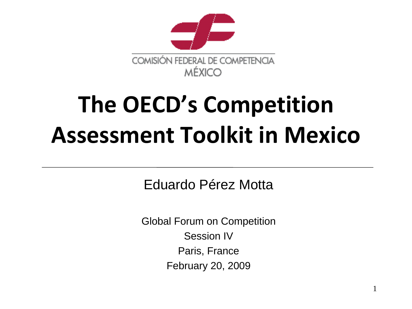

# **The OECD's Competition Assessment Toolkit in Mexico**

Eduardo Pérez Motta

Global Forum on Competition Session IV Paris, France February 20, 2009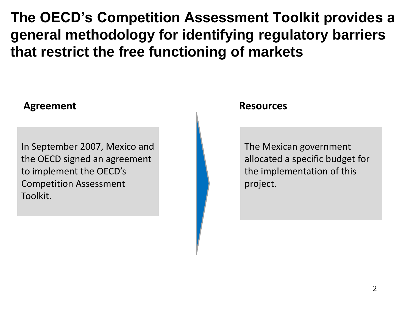**The OECD's Competition Assessment Toolkit provides a general methodology for identifying regulatory barriers that restrict the free functioning of markets**

#### Agreement **Resources Resources**

In September 2007, Mexico and the OECD signed an agreement to implement the OECD's Competition Assessment Toolkit.

The Mexican government allocated a specific budget for the implementation of this project.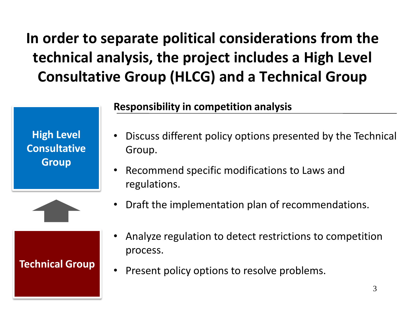### **In order to separate political considerations from the technical analysis, the project includes a High Level Consultative Group (HLCG) and a Technical Group**

#### **Responsibility in competition analysis**

**High Level Consultative Group**

- Discuss different policy options presented by the Technical Group.
- Recommend specific modifications to Laws and regulations.



#### **Technical Group**

• Analyze regulation to detect restrictions to competition process.

• Draft the implementation plan of recommendations.

• Present policy options to resolve problems.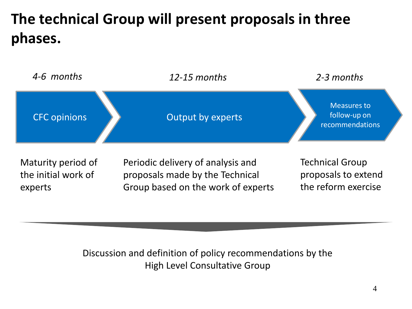### **The technical Group will present proposals in three phases.**



Discussion and definition of policy recommendations by the High Level Consultative Group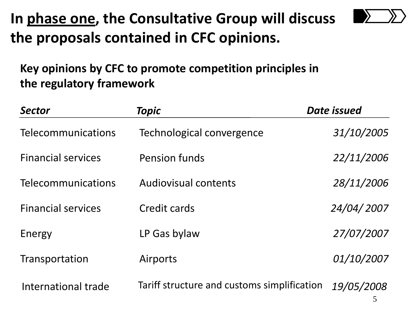### **In phase one, the Consultative Group will discuss the proposals contained in CFC opinions.**



| <b>Sector</b>             | <b>Topic</b>                                | Date issued |
|---------------------------|---------------------------------------------|-------------|
| Telecommunications        | Technological convergence                   | 31/10/2005  |
| <b>Financial services</b> | <b>Pension funds</b>                        | 22/11/2006  |
| Telecommunications        | <b>Audiovisual contents</b>                 | 28/11/2006  |
| <b>Financial services</b> | Credit cards                                | 24/04/2007  |
| Energy                    | LP Gas bylaw                                | 27/07/2007  |
| Transportation            | Airports                                    | 01/10/2007  |
| International trade       | Tariff structure and customs simplification | 19/05/2008  |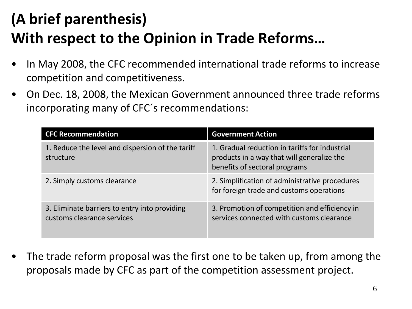### **(A brief parenthesis) With respect to the Opinion in Trade Reforms…**

- In May 2008, the CFC recommended international trade reforms to increase competition and competitiveness.
- On Dec. 18, 2008, the Mexican Government announced three trade reforms incorporating many of CFC´s recommendations:

| <b>CFC Recommendation</b>                                                   | <b>Government Action</b>                                                                                                      |
|-----------------------------------------------------------------------------|-------------------------------------------------------------------------------------------------------------------------------|
| 1. Reduce the level and dispersion of the tariff<br>structure               | 1. Gradual reduction in tariffs for industrial<br>products in a way that will generalize the<br>benefits of sectoral programs |
| 2. Simply customs clearance                                                 | 2. Simplification of administrative procedures<br>for foreign trade and customs operations                                    |
| 3. Eliminate barriers to entry into providing<br>customs clearance services | 3. Promotion of competition and efficiency in<br>services connected with customs clearance                                    |

The trade reform proposal was the first one to be taken up, from among the proposals made by CFC as part of the competition assessment project.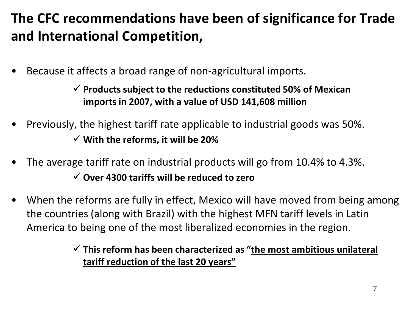#### **The CFC recommendations have been of significance for Trade and International Competition,**

• Because it affects a broad range of non-agricultural imports.

 **Products subject to the reductions constituted 50% of Mexican imports in 2007, with a value of USD 141,608 million**

- Previously, the highest tariff rate applicable to industrial goods was 50%. **With the reforms, it will be 20%**
- The average tariff rate on industrial products will go from 10.4% to 4.3%. **Over 4300 tariffs will be reduced to zero**
- When the reforms are fully in effect, Mexico will have moved from being among the countries (along with Brazil) with the highest MFN tariff levels in Latin America to being one of the most liberalized economies in the region.

#### **This reform has been characterized as "the most ambitious unilateral tariff reduction of the last 20 years"**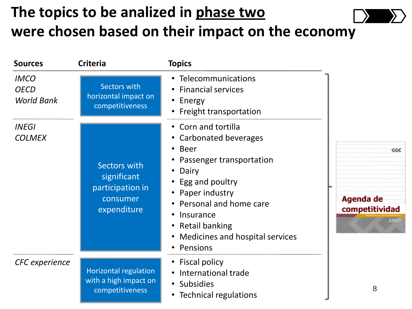#### **The topics to be analized in phase two were chosen based on their impact on the economy**

| <b>Sources</b>                                  | <b>Criteria</b>                                                            | <b>Topics</b>                                                                                                                                                                                                                                          |                                   |
|-------------------------------------------------|----------------------------------------------------------------------------|--------------------------------------------------------------------------------------------------------------------------------------------------------------------------------------------------------------------------------------------------------|-----------------------------------|
| <b>IMCO</b><br><b>OECD</b><br><b>World Bank</b> | <b>Sectors with</b><br>horizontal impact on<br>competitiveness             | • Telecommunications<br>• Financial services<br>• Energy<br>• Freight transportation                                                                                                                                                                   |                                   |
| <b>INEGI</b><br><b>COLMEX</b>                   | Sectors with<br>significant<br>participation in<br>consumer<br>expenditure | • Corn and tortilla<br>• Carbonated beverages<br>• Beer<br>Passenger transportation<br>Dairy<br>• Egg and poultry<br>• Paper industry<br>• Personal and home care<br>Insurance<br><b>Retail banking</b><br>Medicines and hospital services<br>Pensions | cc<br>Agenda de<br>competitividad |
| <b>CFC</b> experience                           | Horizontal regulation<br>with a high impact on<br>competitiveness          | • Fiscal policy<br>International trade<br>$\bullet$<br>• Subsidies<br>• Technical regulations                                                                                                                                                          | 8                                 |

ccc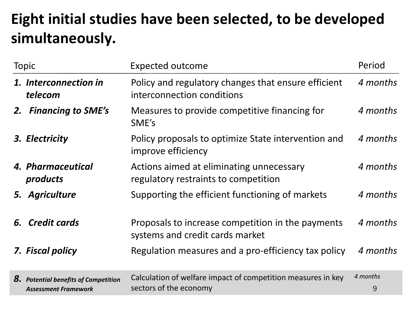### **Eight initial studies have been selected, to be developed simultaneously.**

| <b>Topic</b>                                                               | <b>Expected outcome</b>                                                                | Period        |
|----------------------------------------------------------------------------|----------------------------------------------------------------------------------------|---------------|
| 1. Interconnection in<br>telecom                                           | Policy and regulatory changes that ensure efficient<br>interconnection conditions      | 4 months      |
| <b>Financing to SME's</b><br>2.                                            | Measures to provide competitive financing for<br>SME's                                 | 4 months      |
| 3. Electricity                                                             | Policy proposals to optimize State intervention and<br>improve efficiency              | 4 months      |
| 4. Pharmaceutical<br>products                                              | Actions aimed at eliminating unnecessary<br>regulatory restraints to competition       | 4 months      |
| 5. Agriculture                                                             | Supporting the efficient functioning of markets                                        | 4 months      |
| 6. Credit cards                                                            | Proposals to increase competition in the payments<br>systems and credit cards market   | 4 months      |
| 7. Fiscal policy                                                           | Regulation measures and a pro-efficiency tax policy                                    | 4 months      |
| <b>8.</b> Potential benefits of Competition<br><b>Assessment Framework</b> | Calculation of welfare impact of competition measures in key<br>sectors of the economy | 4 months<br>9 |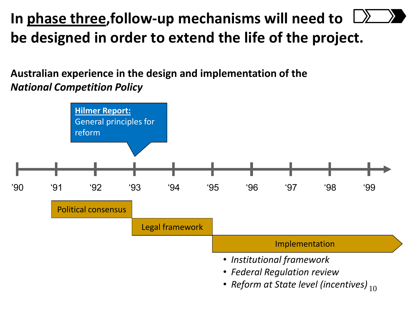### **In phase three,follow-up mechanisms will need to be designed in order to extend the life of the project.**

**Australian experience in the design and implementation of the**  *National Competition Policy*

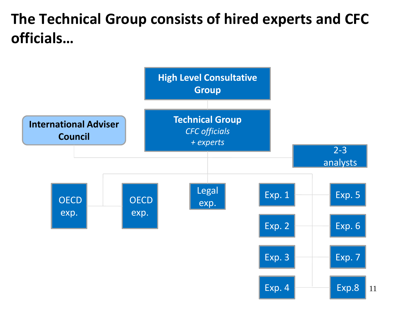#### **The Technical Group consists of hired experts and CFC officials…**

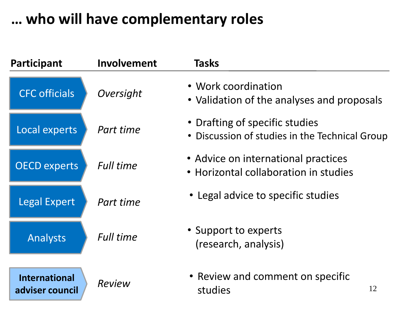#### **… who will have complementary roles**

| Participant                             | <b>Involvement</b> | <b>Tasks</b>                                                                     |
|-----------------------------------------|--------------------|----------------------------------------------------------------------------------|
| <b>CFC</b> officials                    | Oversight          | • Work coordination<br>• Validation of the analyses and proposals                |
| Local experts                           | Part time          | • Drafting of specific studies<br>• Discussion of studies in the Technical Group |
| <b>OECD experts</b>                     | <b>Full time</b>   | • Advice on international practices<br>• Horizontal collaboration in studies     |
| <b>Legal Expert</b>                     | Part time          | • Legal advice to specific studies                                               |
| Analysts                                | <b>Full time</b>   | • Support to experts<br>(research, analysis)                                     |
| <b>International</b><br>adviser council | <b>Review</b>      | • Review and comment on specific<br>12<br>studies                                |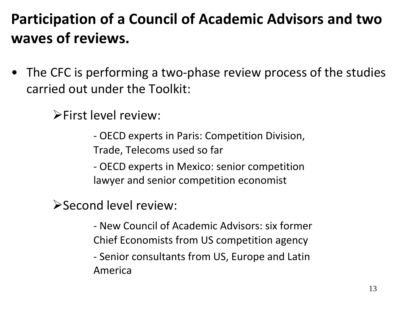### **Participation of a Council of Academic Advisors and two waves of reviews.**

• The CFC is performing a two-phase review process of the studies carried out under the Toolkit:

**First level review:** 

- OECD experts in Paris: Competition Division, Trade, Telecoms used so far

- OECD experts in Mexico: senior competition lawyer and senior competition economist

Second level review:

- New Council of Academic Advisors: six former Chief Economists from US competition agency
- Senior consultants from US, Europe and Latin America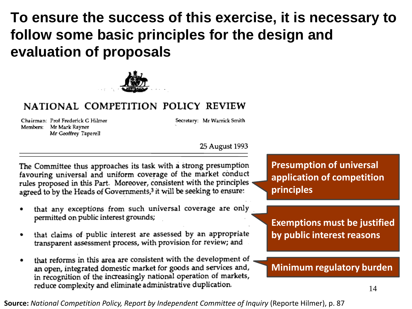#### **To ensure the success of this exercise, it is necessary to follow some basic principles for the design and evaluation of proposals**



#### NATIONAL COMPETITION POLICY REVIEW

Chairman: Prof Frederick G Hilmer Members: Mr Mark Rayner Mr Geoffrey Taperell

Secretary: Mr Warrick Smith

#### 25 August 1993

The Committee thus approaches its task with a strong presumption favouring universal and uniform coverage of the market conduct rules proposed in this Part. Moreover, consistent with the principles agreed to by the Heads of Governments,<sup>3</sup> it will be seeking to ensure:

- that any exceptions from such universal coverage are only permitted on public interest grounds;
- that claims of public interest are assessed by an appropriate transparent assessment process, with provision for review; and
- that reforms in this area are consistent with the development of an open, integrated domestic market for goods and services and, in recognition of the increasingly national operation of markets, reduce complexity and eliminate administrative duplication.

**Presumption of universal application of competition principles** 

**Exemptions must be justified by public interest reasons** 

#### **Minimum regulatory burden**

**Source:** *National Competition Policy, Report by Independent Committee of Inquiry* (Reporte Hilmer), p. 87